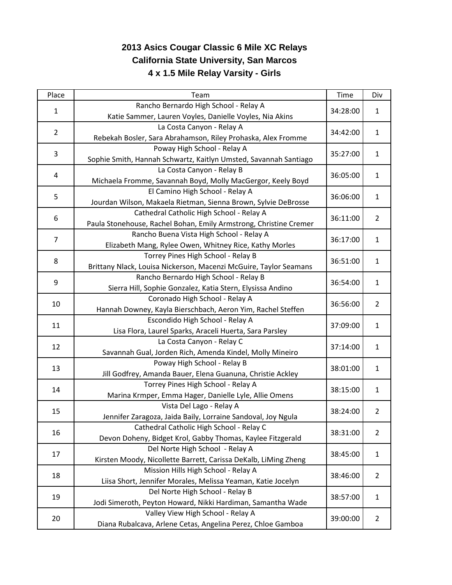## **2013 Asics Cougar Classic 6 Mile XC Relays California State University, San Marcos 4 x 1.5 Mile Relay Varsity - Girls**

| Place          | Team                                                              | Time     | Div                            |
|----------------|-------------------------------------------------------------------|----------|--------------------------------|
| $\mathbf{1}$   | Rancho Bernardo High School - Relay A                             |          | $\mathbf{1}$                   |
|                | Katie Sammer, Lauren Voyles, Danielle Voyles, Nia Akins           | 34:28:00 |                                |
|                | La Costa Canyon - Relay A                                         | 34:42:00 | $\mathbf{1}$                   |
| $\overline{2}$ | Rebekah Bosler, Sara Abrahamson, Riley Prohaska, Alex Fromme      |          |                                |
| 3              | Poway High School - Relay A                                       | 35:27:00 | 1                              |
|                | Sophie Smith, Hannah Schwartz, Kaitlyn Umsted, Savannah Santiago  |          |                                |
| 4              | La Costa Canyon - Relay B                                         | 36:05:00 | $\mathbf{1}$                   |
|                | Michaela Fromme, Savannah Boyd, Molly MacGergor, Keely Boyd       |          |                                |
| 5              | El Camino High School - Relay A                                   | 36:06:00 | $\mathbf{1}$                   |
|                | Jourdan Wilson, Makaela Rietman, Sienna Brown, Sylvie DeBrosse    |          |                                |
| 6              | Cathedral Catholic High School - Relay A                          | 36:11:00 | $\overline{2}$                 |
|                | Paula Stonehouse, Rachel Bohan, Emily Armstrong, Christine Cremer |          |                                |
| $\overline{7}$ | Rancho Buena Vista High School - Relay A                          | 36:17:00 | $\mathbf{1}$                   |
|                | Elizabeth Mang, Rylee Owen, Whitney Rice, Kathy Morles            |          |                                |
| 8              | Torrey Pines High School - Relay B                                | 36:51:00 | $\mathbf{1}$                   |
|                | Brittany Nlack, Louisa Nickerson, Macenzi McGuire, Taylor Seamans |          |                                |
| 9              | Rancho Bernardo High School - Relay B                             | 36:54:00 | $\mathbf{1}$                   |
|                | Sierra Hill, Sophie Gonzalez, Katia Stern, Elysissa Andino        |          |                                |
| 10             | Coronado High School - Relay A                                    | 36:56:00 | $\overline{2}$                 |
|                | Hannah Downey, Kayla Bierschbach, Aeron Yim, Rachel Steffen       |          |                                |
| 11             | Escondido High School - Relay A                                   | 37:09:00 | $\mathbf{1}$                   |
|                | Lisa Flora, Laurel Sparks, Araceli Huerta, Sara Parsley           |          |                                |
| 12             | La Costa Canyon - Relay C                                         | 37:14:00 | $\mathbf{1}$                   |
|                | Savannah Gual, Jorden Rich, Amenda Kindel, Molly Mineiro          |          |                                |
| 13             | Poway High School - Relay B                                       | 38:01:00 | $\mathbf{1}$                   |
|                | Jill Godfrey, Amanda Bauer, Elena Guanuna, Christie Ackley        |          |                                |
| 14             | Torrey Pines High School - Relay A                                | 38:15:00 | $\mathbf{1}$                   |
|                | Marina Krmper, Emma Hager, Danielle Lyle, Allie Omens             |          |                                |
| 15             | Vista Del Lago - Relay A                                          | 38:24:00 | $\overline{2}$                 |
|                | Jennifer Zaragoza, Jaida Baily, Lorraine Sandoval, Joy Ngula      |          |                                |
| 16             | Cathedral Catholic High School - Relay C                          | 38:31:00 | $\overline{2}$                 |
|                | Devon Doheny, Bidget Krol, Gabby Thomas, Kaylee Fitzgerald        | 38:45:00 |                                |
| 17             | Del Norte High School - Relay A                                   |          | 1                              |
| 18<br>19       | Kirsten Moody, Nicollette Barrett, Carissa DeKalb, LiMing Zheng   |          | $\overline{2}$<br>$\mathbf{1}$ |
|                | Mission Hills High School - Relay A                               | 38:46:00 |                                |
|                | Liisa Short, Jennifer Morales, Melissa Yeaman, Katie Jocelyn      |          |                                |
|                | Del Norte High School - Relay B                                   | 38:57:00 |                                |
|                | Jodi Simeroth, Peyton Howard, Nikki Hardiman, Samantha Wade       |          |                                |
| 20             | Valley View High School - Relay A                                 | 39:00:00 | $\overline{2}$                 |
|                | Diana Rubalcava, Arlene Cetas, Angelina Perez, Chloe Gamboa       |          |                                |